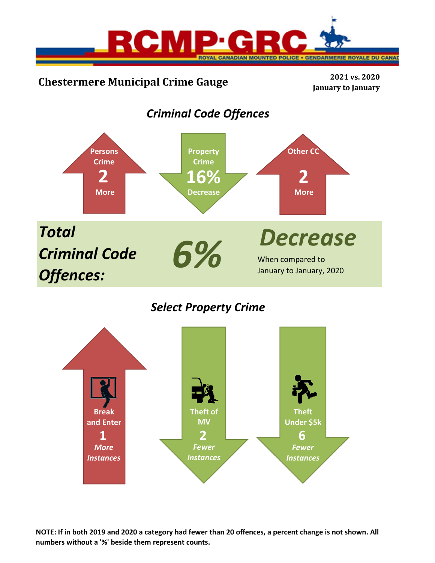

# **Chestermere Municipal Crime Gauge <sup>2021</sup> vs. <sup>2020</sup>**

**January to January**

# *Criminal Code Offences*



## *Select Property Crime*



**NOTE: If in both 2019 and 2020 a category had fewer than 20 offences, a percent change is not shown. All numbers without a '%' beside them represent counts.**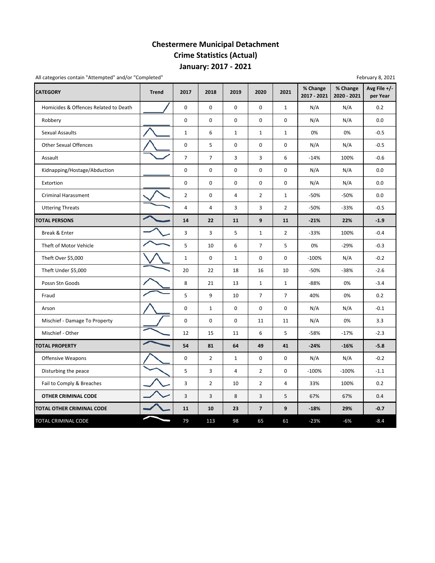## **Chestermere Municipal Detachment Crime Statistics (Actual) January: 2017 ‐ 2021**

All categories contain "Attempted" and/or "Completed" example of the state of the state of the February 8, 2021

| <b>CATEGORY</b>                       | <b>Trend</b> | 2017           | 2018           | 2019           | 2020           | 2021           | % Change<br>2017 - 2021 | % Change<br>2020 - 2021 | Avg File +/-<br>per Year |
|---------------------------------------|--------------|----------------|----------------|----------------|----------------|----------------|-------------------------|-------------------------|--------------------------|
| Homicides & Offences Related to Death |              | $\mathbf 0$    | $\mathbf 0$    | $\mathbf 0$    | 0              | $\mathbf{1}$   | N/A                     | N/A                     | 0.2                      |
| Robbery                               |              | $\pmb{0}$      | 0              | 0              | 0              | 0              | N/A                     | N/A                     | 0.0                      |
| Sexual Assaults                       |              | $\mathbf{1}$   | 6              | $\mathbf{1}$   | $\mathbf{1}$   | $\mathbf{1}$   | 0%                      | 0%                      | $-0.5$                   |
| <b>Other Sexual Offences</b>          |              | $\mathbf 0$    | 5              | $\Omega$       | $\Omega$       | 0              | N/A                     | N/A                     | $-0.5$                   |
| Assault                               |              | $\overline{7}$ | $\overline{7}$ | 3              | 3              | 6              | $-14%$                  | 100%                    | $-0.6$                   |
| Kidnapping/Hostage/Abduction          |              | $\mathbf 0$    | $\pmb{0}$      | $\pmb{0}$      | 0              | 0              | N/A                     | N/A                     | 0.0                      |
| Extortion                             |              | $\mathbf 0$    | $\mathbf 0$    | $\mathbf 0$    | $\mathbf 0$    | 0              | N/A                     | N/A                     | 0.0                      |
| <b>Criminal Harassment</b>            |              | $\overline{2}$ | $\pmb{0}$      | $\overline{4}$ | $\overline{2}$ | $\mathbf{1}$   | $-50%$                  | $-50%$                  | 0.0                      |
| <b>Uttering Threats</b>               |              | $\overline{4}$ | 4              | 3              | 3              | $\overline{2}$ | $-50%$                  | $-33%$                  | $-0.5$                   |
| <b>TOTAL PERSONS</b>                  |              | 14             | 22             | 11             | 9              | 11             | $-21%$                  | 22%                     | $-1.9$                   |
| Break & Enter                         |              | 3              | 3              | 5              | $\mathbf{1}$   | $\overline{2}$ | $-33%$                  | 100%                    | $-0.4$                   |
| Theft of Motor Vehicle                |              | 5              | 10             | 6              | $\overline{7}$ | 5              | 0%                      | $-29%$                  | $-0.3$                   |
| Theft Over \$5,000                    |              | $\mathbf 1$    | $\mathbf 0$    | $\mathbf 1$    | $\mathbf 0$    | 0              | $-100%$                 | N/A                     | $-0.2$                   |
| Theft Under \$5,000                   |              | 20             | 22             | 18             | 16             | 10             | $-50%$                  | $-38%$                  | $-2.6$                   |
| Possn Stn Goods                       |              | 8              | 21             | 13             | $\mathbf{1}$   | $\mathbf{1}$   | $-88%$                  | 0%                      | $-3.4$                   |
| Fraud                                 |              | 5              | 9              | 10             | 7              | $\overline{7}$ | 40%                     | 0%                      | 0.2                      |
| Arson                                 |              | $\pmb{0}$      | $\mathbf{1}$   | 0              | 0              | 0              | N/A                     | N/A                     | $-0.1$                   |
| Mischief - Damage To Property         |              | $\mathbf 0$    | $\mathbf 0$    | $\Omega$       | 11             | 11             | N/A                     | 0%                      | 3.3                      |
| Mischief - Other                      |              | 12             | 15             | 11             | 6              | 5              | $-58%$                  | $-17%$                  | $-2.3$                   |
| <b>TOTAL PROPERTY</b>                 |              | 54             | 81             | 64             | 49             | 41             | $-24%$                  | $-16%$                  | $-5.8$                   |
| Offensive Weapons                     |              | $\pmb{0}$      | $\overline{2}$ | $\mathbf{1}$   | $\mathbf 0$    | 0              | N/A                     | N/A                     | $-0.2$                   |
| Disturbing the peace                  |              | 5              | 3              | $\overline{4}$ | $\overline{2}$ | $\mathbf 0$    | $-100%$                 | $-100%$                 | $-1.1$                   |
| Fail to Comply & Breaches             |              | 3              | $\overline{2}$ | 10             | $\overline{2}$ | 4              | 33%                     | 100%                    | 0.2                      |
| <b>OTHER CRIMINAL CODE</b>            |              | $\overline{3}$ | 3              | 8              | 3              | 5              | 67%                     | 67%                     | 0.4                      |
| TOTAL OTHER CRIMINAL CODE             |              | 11             | 10             | 23             | $\overline{7}$ | 9              | $-18%$                  | 29%                     | $-0.7$                   |
| TOTAL CRIMINAL CODE                   |              | 79             | 113            | 98             | 65             | 61             | $-23%$                  | $-6%$                   | $-8.4$                   |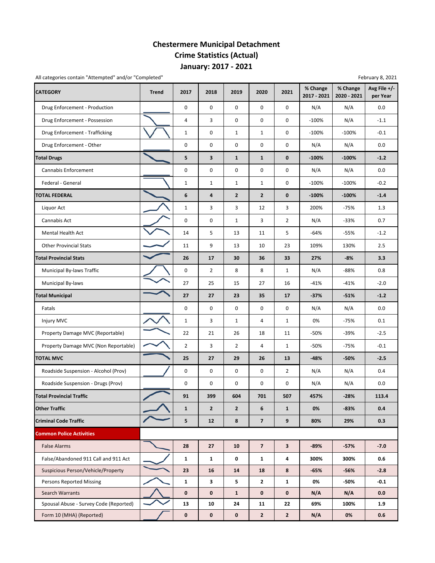## **Chestermere Municipal Detachment Crime Statistics (Actual) January: 2017 ‐ 2021**

All categories contain "Attempted" and/or "Completed" example the state of the state of the February 8, 2021

| <b>CATEGORY</b>                        | <b>Trend</b> | 2017           | 2018           | 2019           | 2020                    | 2021                    | % Change<br>2017 - 2021 | % Change<br>2020 - 2021 | Avg File $+/-$<br>per Year |
|----------------------------------------|--------------|----------------|----------------|----------------|-------------------------|-------------------------|-------------------------|-------------------------|----------------------------|
| Drug Enforcement - Production          |              | $\mathbf 0$    | $\mathbf 0$    | $\mathbf 0$    | $\mathbf 0$             | 0                       | N/A                     | N/A                     | 0.0                        |
| Drug Enforcement - Possession          |              | 4              | 3              | $\mathbf 0$    | 0                       | 0                       | $-100%$                 | N/A                     | $-1.1$                     |
| Drug Enforcement - Trafficking         |              | $\mathbf{1}$   | 0              | $\mathbf{1}$   | $\mathbf{1}$            | 0                       | $-100%$                 | $-100%$                 | $-0.1$                     |
| Drug Enforcement - Other               |              | 0              | 0              | 0              | 0                       | 0                       | N/A                     | N/A                     | 0.0                        |
| <b>Total Drugs</b>                     |              | 5              | 3              | $\mathbf{1}$   | $\mathbf{1}$            | $\mathbf 0$             | $-100%$                 | $-100%$                 | $-1.2$                     |
| <b>Cannabis Enforcement</b>            |              | 0              | $\mathbf 0$    | 0              | 0                       | 0                       | N/A                     | N/A                     | 0.0                        |
| Federal - General                      |              | $\mathbf{1}$   | $\mathbf{1}$   | $\mathbf{1}$   | $\mathbf{1}$            | 0                       | $-100%$                 | $-100%$                 | $-0.2$                     |
| <b>TOTAL FEDERAL</b>                   |              | 6              | 4              | $\mathbf{2}$   | $\mathbf{2}$            | $\mathbf 0$             | $-100%$                 | $-100%$                 | $-1.4$                     |
| Liquor Act                             |              | $\mathbf 1$    | 3              | 3              | 12                      | 3                       | 200%                    | $-75%$                  | 1.3                        |
| Cannabis Act                           |              | 0              | 0              | $\mathbf{1}$   | 3                       | $\overline{2}$          | N/A                     | -33%                    | 0.7                        |
| <b>Mental Health Act</b>               |              | 14             | 5              | 13             | 11                      | 5                       | $-64%$                  | $-55%$                  | $-1.2$                     |
| <b>Other Provincial Stats</b>          |              | 11             | 9              | 13             | 10                      | 23                      | 109%                    | 130%                    | 2.5                        |
| <b>Total Provincial Stats</b>          |              | 26             | 17             | 30             | 36                      | 33                      | 27%                     | $-8%$                   | 3.3                        |
| Municipal By-laws Traffic              |              | 0              | $\overline{2}$ | 8              | 8                       | $\mathbf{1}$            | N/A                     | -88%                    | 0.8                        |
| <b>Municipal By-laws</b>               |              | 27             | 25             | 15             | 27                      | 16                      | $-41%$                  | $-41%$                  | $-2.0$                     |
| <b>Total Municipal</b>                 |              | 27             | 27             | 23             | 35                      | 17                      | $-37%$                  | $-51%$                  | $-1.2$                     |
| Fatals                                 |              | 0              | $\mathbf 0$    | 0              | 0                       | 0                       | N/A                     | N/A                     | 0.0                        |
| Injury MVC                             |              | $\mathbf{1}$   | 3              | $\mathbf{1}$   | 4                       | $\mathbf{1}$            | 0%                      | $-75%$                  | 0.1                        |
| Property Damage MVC (Reportable)       |              | 22             | 21             | 26             | 18                      | 11                      | -50%                    | -39%                    | $-2.5$                     |
| Property Damage MVC (Non Reportable)   |              | $\overline{2}$ | 3              | $\overline{2}$ | 4                       | $\mathbf{1}$            | -50%                    | -75%                    | $-0.1$                     |
| <b>TOTAL MVC</b>                       |              | 25             | 27             | 29             | 26                      | 13                      | $-48%$                  | -50%                    | $-2.5$                     |
| Roadside Suspension - Alcohol (Prov)   |              | 0              | 0              | 0              | 0                       | $\overline{2}$          | N/A                     | N/A                     | 0.4                        |
| Roadside Suspension - Drugs (Prov)     |              | 0              | 0              | 0              | 0                       | 0                       | N/A                     | N/A                     | 0.0                        |
| <b>Total Provincial Traffic</b>        |              | 91             | 399            | 604            | 701                     | 507                     | 457%                    | $-28%$                  | 113.4                      |
| <b>Other Traffic</b>                   |              | $\mathbf{1}$   | $\overline{2}$ | $\mathbf{2}$   | 6                       | $\mathbf{1}$            | 0%                      | $-83%$                  | 0.4                        |
| <b>Criminal Code Traffic</b>           |              | 5              | 12             | 8              | $\overline{\mathbf{z}}$ | $\boldsymbol{9}$        | 80%                     | 29%                     | 0.3                        |
| <b>Common Police Activities</b>        |              |                |                |                |                         |                         |                         |                         |                            |
| <b>False Alarms</b>                    |              | 28             | 27             | 10             | $\overline{7}$          | $\overline{\mathbf{3}}$ | $-89%$                  | $-57%$                  | $-7.0$                     |
| False/Abandoned 911 Call and 911 Act   |              | $\mathbf{1}$   | $\mathbf{1}$   | 0              | $\mathbf{1}$            | 4                       | 300%                    | 300%                    | 0.6                        |
| Suspicious Person/Vehicle/Property     |              | 23             | 16             | 14             | 18                      | 8                       | $-65%$                  | -56%                    | $-2.8$                     |
| <b>Persons Reported Missing</b>        |              | $\mathbf{1}$   | 3              | 5              | $\mathbf{2}$            | $\mathbf{1}$            | 0%                      | -50%                    | $-0.1$                     |
| Search Warrants                        |              | $\pmb{0}$      | 0              | $\mathbf{1}$   | 0                       | $\mathbf 0$             | N/A                     | N/A                     | 0.0                        |
| Spousal Abuse - Survey Code (Reported) |              | 13             | 10             | 24             | 11                      | 22                      | 69%                     | 100%                    | 1.9                        |
| Form 10 (MHA) (Reported)               |              | 0              | 0              | 0              | $\mathbf{2}$            | $\overline{2}$          | N/A                     | 0%                      | 0.6                        |